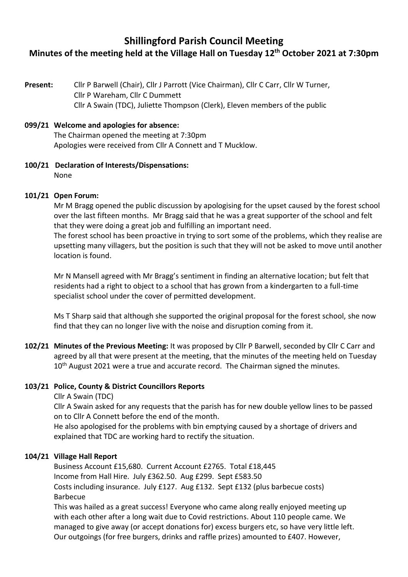# **Shillingford Parish Council Meeting**

# **Minutes of the meeting held at the Village Hall on Tuesday 12 th October 2021 at 7:30pm**

**Present:** Cllr P Barwell (Chair), Cllr J Parrott (Vice Chairman), Cllr C Carr, Cllr W Turner, Cllr P Wareham, Cllr C Dummett Cllr A Swain (TDC), Juliette Thompson (Clerk), Eleven members of the public

## **099/21 Welcome and apologies for absence:**

The Chairman opened the meeting at 7:30pm Apologies were received from Cllr A Connett and T Mucklow.

**100/21 Declaration of Interests/Dispensations:**  None

## **101/21 Open Forum:**

Mr M Bragg opened the public discussion by apologising for the upset caused by the forest school over the last fifteen months. Mr Bragg said that he was a great supporter of the school and felt that they were doing a great job and fulfilling an important need.

The forest school has been proactive in trying to sort some of the problems, which they realise are upsetting many villagers, but the position is such that they will not be asked to move until another location is found.

Mr N Mansell agreed with Mr Bragg's sentiment in finding an alternative location; but felt that residents had a right to object to a school that has grown from a kindergarten to a full-time specialist school under the cover of permitted development.

Ms T Sharp said that although she supported the original proposal for the forest school, she now find that they can no longer live with the noise and disruption coming from it.

**102/21 Minutes of the Previous Meeting:** It was proposed by Cllr P Barwell, seconded by Cllr C Carr and agreed by all that were present at the meeting, that the minutes of the meeting held on Tuesday 10<sup>th</sup> August 2021 were a true and accurate record. The Chairman signed the minutes.

#### **103/21 Police, County & District Councillors Reports**

Cllr A Swain (TDC)

Cllr A Swain asked for any requests that the parish has for new double yellow lines to be passed on to Cllr A Connett before the end of the month.

He also apologised for the problems with bin emptying caused by a shortage of drivers and explained that TDC are working hard to rectify the situation.

#### **104/21 Village Hall Report**

Business Account £15,680. Current Account £2765. Total £18,445 Income from Hall Hire. July £362.50. Aug £299. Sept £583.50 Costs including insurance. July £127. Aug £132. Sept £132 (plus barbecue costs) Barbecue

This was hailed as a great success! Everyone who came along really enjoyed meeting up with each other after a long wait due to Covid restrictions. About 110 people came. We managed to give away (or accept donations for) excess burgers etc, so have very little left. Our outgoings (for free burgers, drinks and raffle prizes) amounted to £407. However,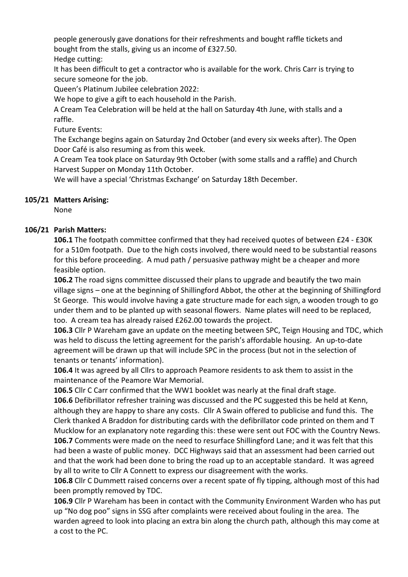people generously gave donations for their refreshments and bought raffle tickets and bought from the stalls, giving us an income of £327.50. Hedge cutting:

It has been difficult to get a contractor who is available for the work. Chris Carr is trying to secure someone for the job.

Queen's Platinum Jubilee celebration 2022:

We hope to give a gift to each household in the Parish.

A Cream Tea Celebration will be held at the hall on Saturday 4th June, with stalls and a raffle.

Future Events:

The Exchange begins again on Saturday 2nd October (and every six weeks after). The Open Door Café is also resuming as from this week.

A Cream Tea took place on Saturday 9th October (with some stalls and a raffle) and Church Harvest Supper on Monday 11th October.

We will have a special 'Christmas Exchange' on Saturday 18th December.

## **105/21 Matters Arising:**

None

## **106/21 Parish Matters:**

**106.1** The footpath committee confirmed that they had received quotes of between £24 - £30K for a 510m footpath. Due to the high costs involved, there would need to be substantial reasons for this before proceeding. A mud path / persuasive pathway might be a cheaper and more feasible option.

**106.2** The road signs committee discussed their plans to upgrade and beautify the two main village signs – one at the beginning of Shillingford Abbot, the other at the beginning of Shillingford St George. This would involve having a gate structure made for each sign, a wooden trough to go under them and to be planted up with seasonal flowers. Name plates will need to be replaced, too. A cream tea has already raised £262.00 towards the project.

**106.3** Cllr P Wareham gave an update on the meeting between SPC, Teign Housing and TDC, which was held to discuss the letting agreement for the parish's affordable housing. An up-to-date agreement will be drawn up that will include SPC in the process (but not in the selection of tenants or tenants' information).

**106.4** It was agreed by all Cllrs to approach Peamore residents to ask them to assist in the maintenance of the Peamore War Memorial.

**106.5** Cllr C Carr confirmed that the WW1 booklet was nearly at the final draft stage.

**106.6** Defibrillator refresher training was discussed and the PC suggested this be held at Kenn, although they are happy to share any costs. Cllr A Swain offered to publicise and fund this. The Clerk thanked A Braddon for distributing cards with the defibrillator code printed on them and T Mucklow for an explanatory note regarding this: these were sent out FOC with the Country News. **106.7** Comments were made on the need to resurface Shillingford Lane; and it was felt that this had been a waste of public money. DCC Highways said that an assessment had been carried out and that the work had been done to bring the road up to an acceptable standard. It was agreed by all to write to Cllr A Connett to express our disagreement with the works.

**106.8** Cllr C Dummett raised concerns over a recent spate of fly tipping, although most of this had been promptly removed by TDC.

**106.9** Cllr P Wareham has been in contact with the Community Environment Warden who has put up "No dog poo" signs in SSG after complaints were received about fouling in the area. The warden agreed to look into placing an extra bin along the church path, although this may come at a cost to the PC.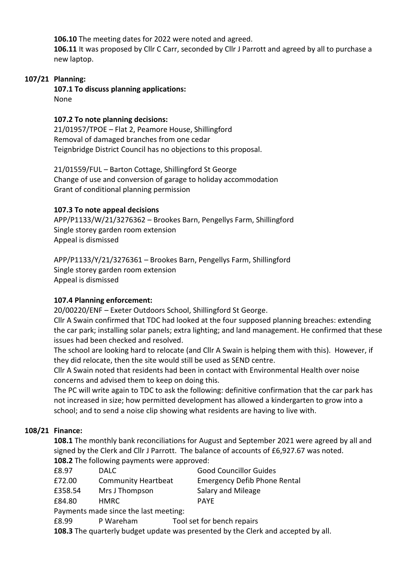**106.10** The meeting dates for 2022 were noted and agreed.

**106.11** It was proposed by Cllr C Carr, seconded by Cllr J Parrott and agreed by all to purchase a new laptop.

## **107/21 Planning:**

**107.1 To discuss planning applications:** None

## **107.2 To note planning decisions:**

21/01957/TPOE – Flat 2, Peamore House, Shillingford Removal of damaged branches from one cedar Teignbridge District Council has no objections to this proposal.

21/01559/FUL – Barton Cottage, Shillingford St George Change of use and conversion of garage to holiday accommodation Grant of conditional planning permission

## **107.3 To note appeal decisions**

APP/P1133/W/21/3276362 – Brookes Barn, Pengellys Farm, Shillingford Single storey garden room extension Appeal is dismissed

APP/P1133/Y/21/3276361 – Brookes Barn, Pengellys Farm, Shillingford Single storey garden room extension Appeal is dismissed

## **107.4 Planning enforcement:**

20/00220/ENF – Exeter Outdoors School, Shillingford St George.

Cllr A Swain confirmed that TDC had looked at the four supposed planning breaches: extending the car park; installing solar panels; extra lighting; and land management. He confirmed that these issues had been checked and resolved.

The school are looking hard to relocate (and Cllr A Swain is helping them with this). However, if they did relocate, then the site would still be used as SEND centre.

Cllr A Swain noted that residents had been in contact with Environmental Health over noise concerns and advised them to keep on doing this.

The PC will write again to TDC to ask the following: definitive confirmation that the car park has not increased in size; how permitted development has allowed a kindergarten to grow into a school; and to send a noise clip showing what residents are having to live with.

## **108/21 Finance:**

**108.1** The monthly bank reconciliations for August and September 2021 were agreed by all and signed by the Clerk and Cllr J Parrott. The balance of accounts of £6,927.67 was noted. **108.2** The following payments were approved:

| £8.97   | <b>DALC</b>                | <b>Good Councillor Guides</b>       |
|---------|----------------------------|-------------------------------------|
| £72.00  | <b>Community Heartbeat</b> | <b>Emergency Defib Phone Rental</b> |
| £358.54 | Mrs J Thompson             | Salary and Mileage                  |
| £84.80  | HMRC.                      | <b>PAYE</b>                         |

Payments made since the last meeting:

£8.99 P Wareham Tool set for bench repairs

**108.3** The quarterly budget update was presented by the Clerk and accepted by all.